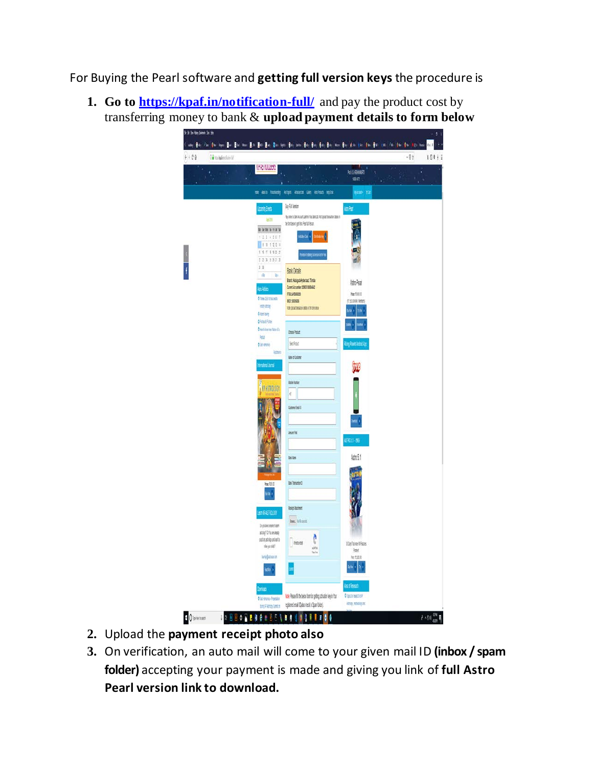For Buying the Pearl software and **getting full version keys** the procedure is

**1. Go to<https://kpaf.in/notification-full/>** and pay the product cost by transferring money to bank & **upload payment details to form below**



- **2.** Upload the **payment receipt photo also**
- **3.** On verification, an auto mail will come to your given mail ID **(inbox / spam folder)** accepting your payment is made and giving you link of **full Astro Pearl version link to download.**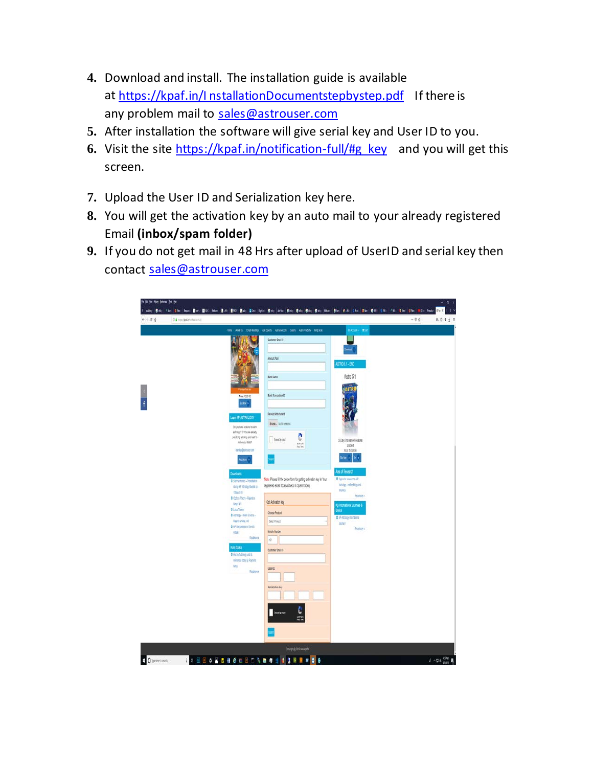- **4.** Download and install. The installation guide is available at https://kpaf.in/I [nstallationDocumentstepbystep.pdf I](https://kpaf.in/InstallationDocumentstepbystep.pdf)f there is any problem mail to [sales@astrouser.com](mailto:sales@astrouser.com)
- **5.** After installation the software will give serial key and User ID to you.
- **6.** Visit the site [https://kpaf.in/notification-full/#g\\_key a](https://kpaf.in/notification-full/#g_key)nd you will get this screen.
- **7.** Upload the User ID and Serialization key here.
- **8.** You will get the activation key by an auto mail to your already registered Email **(inbox/spam folder)**
- **9.** If you do not get mail in 48 Hrs after upload of UserID and serial key then contact [sales@astrouser.com](mailto:sales@astrouser.com)